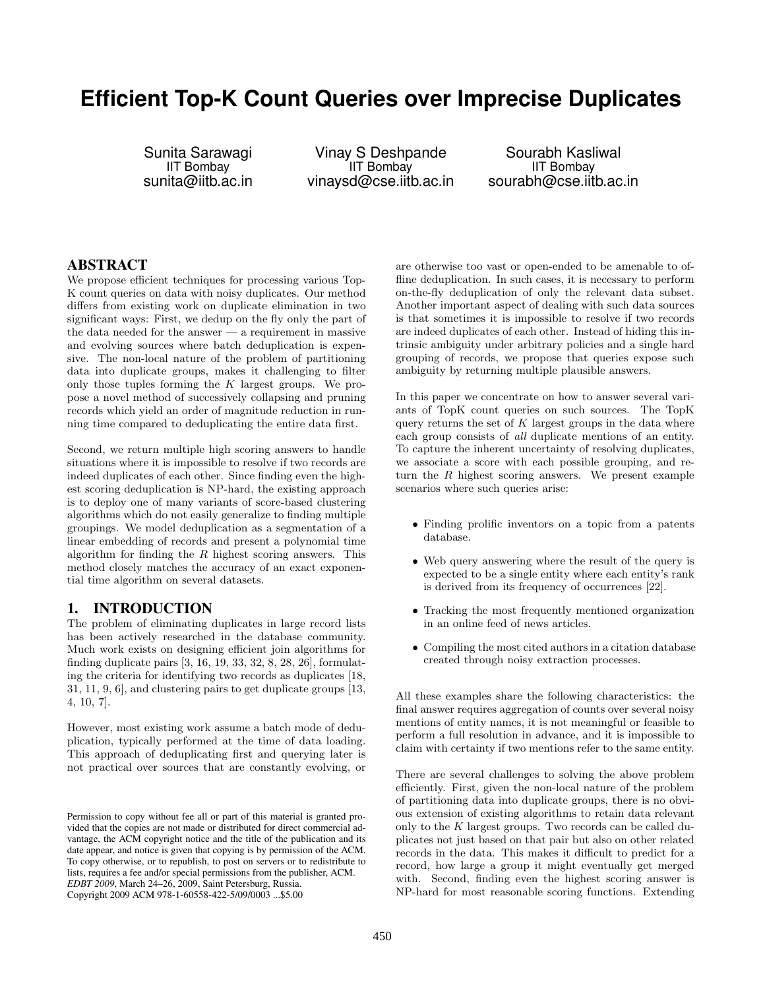# **Efficient Top-K Count Queries over Imprecise Duplicates**

Sunita Sarawagi IIT Bombay sunita@iitb.ac.in

Vinay S Deshpande IIT Bombay vinaysd@cse.iitb.ac.in

Sourabh Kasliwal IIT Bombay sourabh@cse.iitb.ac.in

# ABSTRACT

We propose efficient techniques for processing various Top-K count queries on data with noisy duplicates. Our method differs from existing work on duplicate elimination in two significant ways: First, we dedup on the fly only the part of the data needed for the answer — a requirement in massive and evolving sources where batch deduplication is expensive. The non-local nature of the problem of partitioning data into duplicate groups, makes it challenging to filter only those tuples forming the  $K$  largest groups. We propose a novel method of successively collapsing and pruning records which yield an order of magnitude reduction in running time compared to deduplicating the entire data first.

Second, we return multiple high scoring answers to handle situations where it is impossible to resolve if two records are indeed duplicates of each other. Since finding even the highest scoring deduplication is NP-hard, the existing approach is to deploy one of many variants of score-based clustering algorithms which do not easily generalize to finding multiple groupings. We model deduplication as a segmentation of a linear embedding of records and present a polynomial time algorithm for finding the  $R$  highest scoring answers. This method closely matches the accuracy of an exact exponential time algorithm on several datasets.

# 1. INTRODUCTION

The problem of eliminating duplicates in large record lists has been actively researched in the database community. Much work exists on designing efficient join algorithms for finding duplicate pairs [3, 16, 19, 33, 32, 8, 28, 26], formulating the criteria for identifying two records as duplicates [18, 31, 11, 9, 6], and clustering pairs to get duplicate groups [13, 4, 10, 7].

However, most existing work assume a batch mode of deduplication, typically performed at the time of data loading. This approach of deduplicating first and querying later is not practical over sources that are constantly evolving, or

are otherwise too vast or open-ended to be amenable to offline deduplication. In such cases, it is necessary to perform on-the-fly deduplication of only the relevant data subset. Another important aspect of dealing with such data sources is that sometimes it is impossible to resolve if two records are indeed duplicates of each other. Instead of hiding this intrinsic ambiguity under arbitrary policies and a single hard grouping of records, we propose that queries expose such ambiguity by returning multiple plausible answers.

In this paper we concentrate on how to answer several variants of TopK count queries on such sources. The TopK query returns the set of  $K$  largest groups in the data where each group consists of all duplicate mentions of an entity. To capture the inherent uncertainty of resolving duplicates, we associate a score with each possible grouping, and return the  $R$  highest scoring answers. We present example scenarios where such queries arise:

- Finding prolific inventors on a topic from a patents database.
- Web query answering where the result of the query is expected to be a single entity where each entity's rank is derived from its frequency of occurrences [22].
- Tracking the most frequently mentioned organization in an online feed of news articles.
- Compiling the most cited authors in a citation database created through noisy extraction processes.

All these examples share the following characteristics: the final answer requires aggregation of counts over several noisy mentions of entity names, it is not meaningful or feasible to perform a full resolution in advance, and it is impossible to claim with certainty if two mentions refer to the same entity.

There are several challenges to solving the above problem efficiently. First, given the non-local nature of the problem of partitioning data into duplicate groups, there is no obvious extension of existing algorithms to retain data relevant only to the K largest groups. Two records can be called duplicates not just based on that pair but also on other related records in the data. This makes it difficult to predict for a record, how large a group it might eventually get merged with. Second, finding even the highest scoring answer is NP-hard for most reasonable scoring functions. Extending

Permission to copy without fee all or part of this material is granted provided that the copies are not made or distributed for direct commercial advantage, the ACM copyright notice and the title of the publication and its date appear, and notice is given that copying is by permission of the ACM. To copy otherwise, or to republish, to post on servers or to redistribute to lists, requires a fee and/or special permissions from the publisher, ACM. *EDBT 2009*, March 24–26, 2009, Saint Petersburg, Russia. Copyright 2009 ACM 978-1-60558-422-5/09/0003 ...\$5.00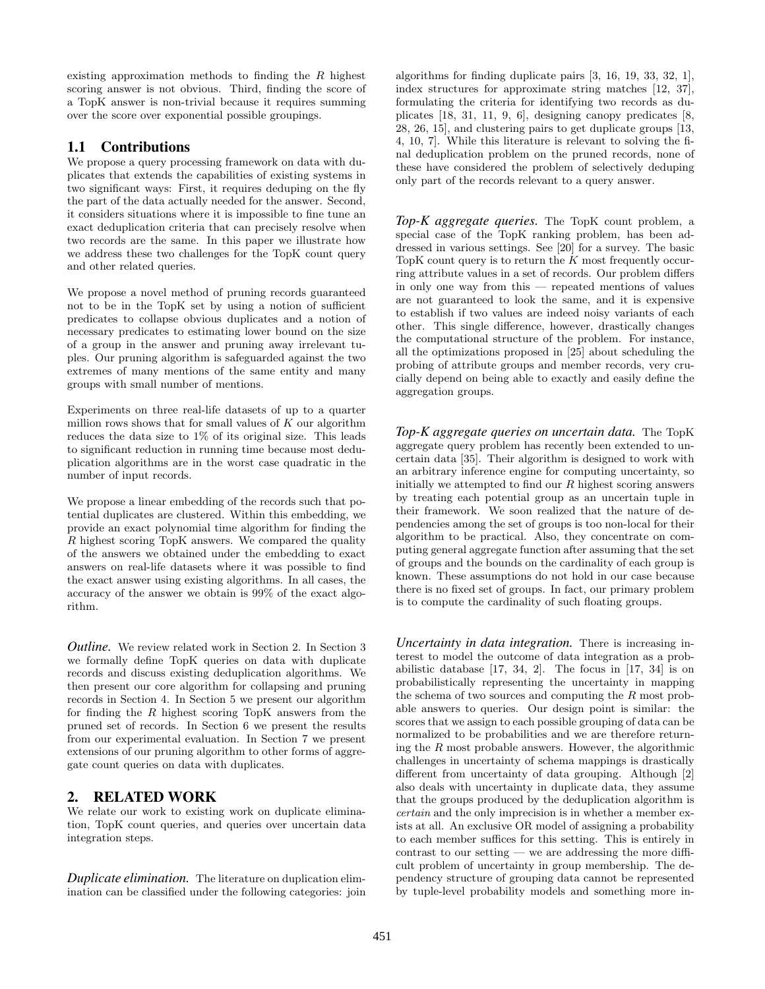existing approximation methods to finding the R highest scoring answer is not obvious. Third, finding the score of a TopK answer is non-trivial because it requires summing over the score over exponential possible groupings.

# 1.1 Contributions

We propose a query processing framework on data with duplicates that extends the capabilities of existing systems in two significant ways: First, it requires deduping on the fly the part of the data actually needed for the answer. Second, it considers situations where it is impossible to fine tune an exact deduplication criteria that can precisely resolve when two records are the same. In this paper we illustrate how we address these two challenges for the TopK count query and other related queries.

We propose a novel method of pruning records guaranteed not to be in the TopK set by using a notion of sufficient predicates to collapse obvious duplicates and a notion of necessary predicates to estimating lower bound on the size of a group in the answer and pruning away irrelevant tuples. Our pruning algorithm is safeguarded against the two extremes of many mentions of the same entity and many groups with small number of mentions.

Experiments on three real-life datasets of up to a quarter million rows shows that for small values of  $K$  our algorithm reduces the data size to  $1\%$  of its original size. This leads to significant reduction in running time because most deduplication algorithms are in the worst case quadratic in the number of input records.

We propose a linear embedding of the records such that potential duplicates are clustered. Within this embedding, we provide an exact polynomial time algorithm for finding the R highest scoring TopK answers. We compared the quality of the answers we obtained under the embedding to exact answers on real-life datasets where it was possible to find the exact answer using existing algorithms. In all cases, the accuracy of the answer we obtain is 99% of the exact algorithm.

*Outline.* We review related work in Section 2. In Section 3 we formally define TopK queries on data with duplicate records and discuss existing deduplication algorithms. We then present our core algorithm for collapsing and pruning records in Section 4. In Section 5 we present our algorithm for finding the  $R$  highest scoring TopK answers from the pruned set of records. In Section 6 we present the results from our experimental evaluation. In Section 7 we present extensions of our pruning algorithm to other forms of aggregate count queries on data with duplicates.

# 2. RELATED WORK

We relate our work to existing work on duplicate elimination, TopK count queries, and queries over uncertain data integration steps.

*Duplicate elimination.* The literature on duplication elimination can be classified under the following categories: join algorithms for finding duplicate pairs [3, 16, 19, 33, 32, 1], index structures for approximate string matches [12, 37], formulating the criteria for identifying two records as duplicates [18, 31, 11, 9, 6], designing canopy predicates [8, 28, 26, 15], and clustering pairs to get duplicate groups [13, 4, 10, 7]. While this literature is relevant to solving the final deduplication problem on the pruned records, none of these have considered the problem of selectively deduping only part of the records relevant to a query answer.

*Top-K aggregate queries.* The TopK count problem, a special case of the TopK ranking problem, has been addressed in various settings. See [20] for a survey. The basic TopK count query is to return the  $K$  most frequently occurring attribute values in a set of records. Our problem differs in only one way from this — repeated mentions of values are not guaranteed to look the same, and it is expensive to establish if two values are indeed noisy variants of each other. This single difference, however, drastically changes the computational structure of the problem. For instance, all the optimizations proposed in [25] about scheduling the probing of attribute groups and member records, very crucially depend on being able to exactly and easily define the aggregation groups.

*Top-K aggregate queries on uncertain data.* The TopK aggregate query problem has recently been extended to uncertain data [35]. Their algorithm is designed to work with an arbitrary inference engine for computing uncertainty, so initially we attempted to find our  $R$  highest scoring answers by treating each potential group as an uncertain tuple in their framework. We soon realized that the nature of dependencies among the set of groups is too non-local for their algorithm to be practical. Also, they concentrate on computing general aggregate function after assuming that the set of groups and the bounds on the cardinality of each group is known. These assumptions do not hold in our case because there is no fixed set of groups. In fact, our primary problem is to compute the cardinality of such floating groups.

*Uncertainty in data integration.* There is increasing interest to model the outcome of data integration as a probabilistic database [17, 34, 2]. The focus in [17, 34] is on probabilistically representing the uncertainty in mapping the schema of two sources and computing the R most probable answers to queries. Our design point is similar: the scores that we assign to each possible grouping of data can be normalized to be probabilities and we are therefore returning the  $R$  most probable answers. However, the algorithmic challenges in uncertainty of schema mappings is drastically different from uncertainty of data grouping. Although [2] also deals with uncertainty in duplicate data, they assume that the groups produced by the deduplication algorithm is certain and the only imprecision is in whether a member exists at all. An exclusive OR model of assigning a probability to each member suffices for this setting. This is entirely in contrast to our setting — we are addressing the more difficult problem of uncertainty in group membership. The dependency structure of grouping data cannot be represented by tuple-level probability models and something more in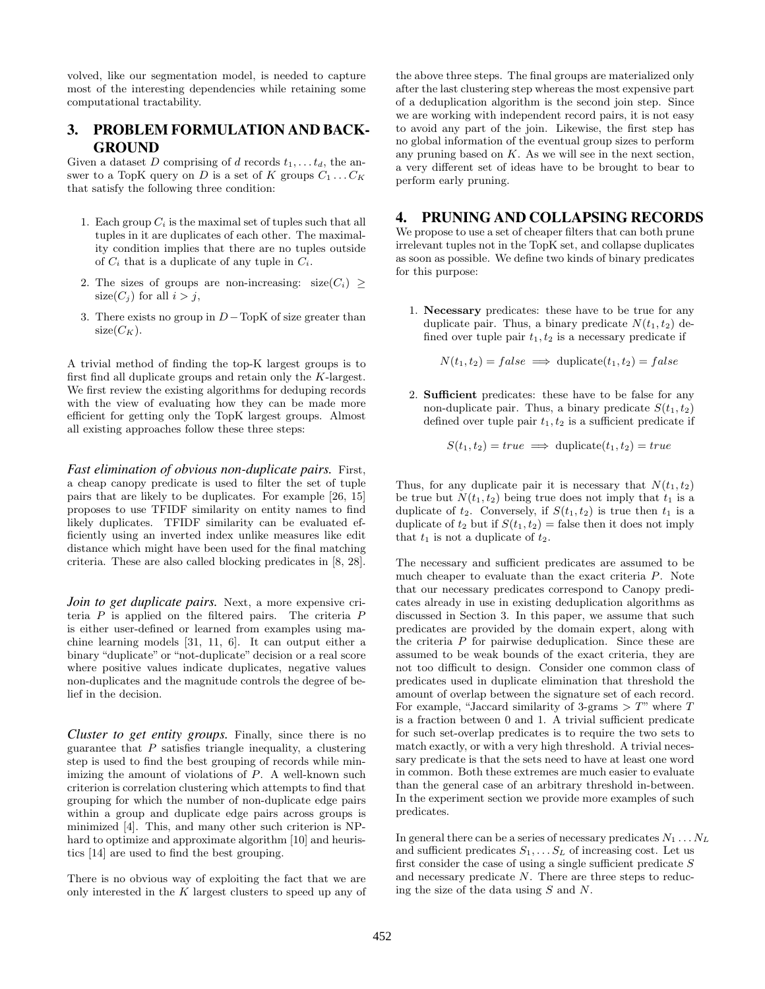volved, like our segmentation model, is needed to capture most of the interesting dependencies while retaining some computational tractability.

# 3. PROBLEM FORMULATION AND BACK-GROUND

Given a dataset D comprising of d records  $t_1, \ldots, t_d$ , the answer to a TopK query on D is a set of K groups  $C_1 \ldots C_K$ that satisfy the following three condition:

- 1. Each group  $C_i$  is the maximal set of tuples such that all tuples in it are duplicates of each other. The maximality condition implies that there are no tuples outside of  $C_i$  that is a duplicate of any tuple in  $C_i$ .
- 2. The sizes of groups are non-increasing:  $size(C_i) \geq$  $size(C_j)$  for all  $i > j$ ,
- 3. There exists no group in  $D-\text{TopK}$  of size greater than  $size(C_K)$ .

A trivial method of finding the top-K largest groups is to first find all duplicate groups and retain only the K-largest. We first review the existing algorithms for deduping records with the view of evaluating how they can be made more efficient for getting only the TopK largest groups. Almost all existing approaches follow these three steps:

*Fast elimination of obvious non-duplicate pairs.* First, a cheap canopy predicate is used to filter the set of tuple pairs that are likely to be duplicates. For example [26, 15] proposes to use TFIDF similarity on entity names to find likely duplicates. TFIDF similarity can be evaluated efficiently using an inverted index unlike measures like edit distance which might have been used for the final matching criteria. These are also called blocking predicates in [8, 28].

*Join to get duplicate pairs.* Next, a more expensive criteria  $P$  is applied on the filtered pairs. The criteria  $P$ is either user-defined or learned from examples using machine learning models [31, 11, 6]. It can output either a binary "duplicate" or "not-duplicate" decision or a real score where positive values indicate duplicates, negative values non-duplicates and the magnitude controls the degree of belief in the decision.

*Cluster to get entity groups.* Finally, since there is no guarantee that  $P$  satisfies triangle inequality, a clustering step is used to find the best grouping of records while minimizing the amount of violations of  $P$ . A well-known such criterion is correlation clustering which attempts to find that grouping for which the number of non-duplicate edge pairs within a group and duplicate edge pairs across groups is minimized [4]. This, and many other such criterion is NPhard to optimize and approximate algorithm [10] and heuristics [14] are used to find the best grouping.

There is no obvious way of exploiting the fact that we are only interested in the  $K$  largest clusters to speed up any of the above three steps. The final groups are materialized only after the last clustering step whereas the most expensive part of a deduplication algorithm is the second join step. Since we are working with independent record pairs, it is not easy to avoid any part of the join. Likewise, the first step has no global information of the eventual group sizes to perform any pruning based on  $K$ . As we will see in the next section, a very different set of ideas have to be brought to bear to perform early pruning.

# 4. PRUNING AND COLLAPSING RECORDS

We propose to use a set of cheaper filters that can both prune irrelevant tuples not in the TopK set, and collapse duplicates as soon as possible. We define two kinds of binary predicates for this purpose:

1. Necessary predicates: these have to be true for any duplicate pair. Thus, a binary predicate  $N(t_1, t_2)$  defined over tuple pair  $t_1, t_2$  is a necessary predicate if

 $N(t_1, t_2) = false \implies \text{dupiter}(t_1, t_2) = false$ 

2. Sufficient predicates: these have to be false for any non-duplicate pair. Thus, a binary predicate  $S(t_1, t_2)$ defined over tuple pair  $t_1, t_2$  is a sufficient predicate if

$$
S(t_1, t_2) = true \implies \text{duplicate}(t_1, t_2) = true
$$

Thus, for any duplicate pair it is necessary that  $N(t_1, t_2)$ be true but  $N(t_1, t_2)$  being true does not imply that  $t_1$  is a duplicate of  $t_2$ . Conversely, if  $S(t_1, t_2)$  is true then  $t_1$  is a duplicate of  $t_2$  but if  $S(t_1, t_2)$  = false then it does not imply that  $t_1$  is not a duplicate of  $t_2$ .

The necessary and sufficient predicates are assumed to be much cheaper to evaluate than the exact criteria P. Note that our necessary predicates correspond to Canopy predicates already in use in existing deduplication algorithms as discussed in Section 3. In this paper, we assume that such predicates are provided by the domain expert, along with the criteria P for pairwise deduplication. Since these are assumed to be weak bounds of the exact criteria, they are not too difficult to design. Consider one common class of predicates used in duplicate elimination that threshold the amount of overlap between the signature set of each record. For example, "Jaccard similarity of 3-grams  $> T$ " where T is a fraction between 0 and 1. A trivial sufficient predicate for such set-overlap predicates is to require the two sets to match exactly, or with a very high threshold. A trivial necessary predicate is that the sets need to have at least one word in common. Both these extremes are much easier to evaluate than the general case of an arbitrary threshold in-between. In the experiment section we provide more examples of such predicates.

In general there can be a series of necessary predicates  $N_1 \ldots N_L$ and sufficient predicates  $S_1, \ldots, S_L$  of increasing cost. Let us first consider the case of using a single sufficient predicate  $S$ and necessary predicate N. There are three steps to reducing the size of the data using S and N.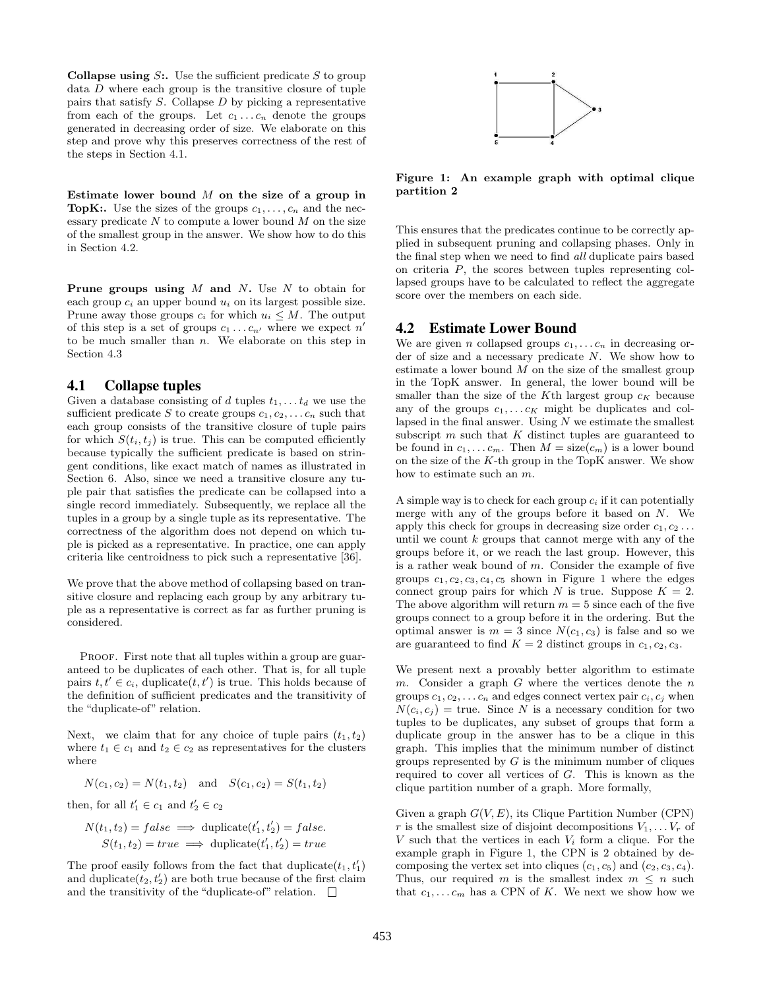**Collapse using S:.** Use the sufficient predicate S to group data  $D$  where each group is the transitive closure of tuple pairs that satisfy  $S$ . Collapse  $D$  by picking a representative from each of the groups. Let  $c_1 \ldots c_n$  denote the groups generated in decreasing order of size. We elaborate on this step and prove why this preserves correctness of the rest of the steps in Section 4.1.

Estimate lower bound  $M$  on the size of a group in **TopK:.** Use the sizes of the groups  $c_1, \ldots, c_n$  and the necessary predicate  $N$  to compute a lower bound  $M$  on the size of the smallest group in the answer. We show how to do this in Section 4.2.

**Prune groups using**  $M$  **and**  $N$ **.** Use  $N$  to obtain for each group  $c_i$  an upper bound  $u_i$  on its largest possible size. Prune away those groups  $c_i$  for which  $u_i \leq M$ . The output of this step is a set of groups  $c_1 \ldots c_{n'}$  where we expect  $n'$ to be much smaller than  $n$ . We elaborate on this step in Section 4.3

### 4.1 Collapse tuples

Given a database consisting of d tuples  $t_1, \ldots t_d$  we use the sufficient predicate S to create groups  $c_1, c_2, \ldots c_n$  such that each group consists of the transitive closure of tuple pairs for which  $S(t_i, t_j)$  is true. This can be computed efficiently because typically the sufficient predicate is based on stringent conditions, like exact match of names as illustrated in Section 6. Also, since we need a transitive closure any tuple pair that satisfies the predicate can be collapsed into a single record immediately. Subsequently, we replace all the tuples in a group by a single tuple as its representative. The correctness of the algorithm does not depend on which tuple is picked as a representative. In practice, one can apply criteria like centroidness to pick such a representative [36].

We prove that the above method of collapsing based on transitive closure and replacing each group by any arbitrary tuple as a representative is correct as far as further pruning is considered.

PROOF. First note that all tuples within a group are guaranteed to be duplicates of each other. That is, for all tuple pairs  $t, t' \in c_i$ , duplicate $(t, t')$  is true. This holds because of the definition of sufficient predicates and the transitivity of the "duplicate-of" relation.

Next, we claim that for any choice of tuple pairs  $(t_1, t_2)$ where  $t_1 \in c_1$  and  $t_2 \in c_2$  as representatives for the clusters where

$$
N(c_1, c_2) = N(t_1, t_2)
$$
 and  $S(c_1, c_2) = S(t_1, t_2)$ 

then, for all  $t'_1 \in c_1$  and  $t'_2 \in c_2$ 

$$
N(t_1, t_2) = false \implies \text{duplicate}(t'_1, t'_2) = false.
$$
  

$$
S(t_1, t_2) = true \implies \text{duplicate}(t'_1, t'_2) = true
$$

The proof easily follows from the fact that  $\text{diplicate}(t_1, t_1')$ and duplicate $(t_2, t_2')$  are both true because of the first claim and the transitivity of the "duplicate-of" relation.  $\Box$ 



Figure 1: An example graph with optimal clique partition 2

This ensures that the predicates continue to be correctly applied in subsequent pruning and collapsing phases. Only in the final step when we need to find all duplicate pairs based on criteria P, the scores between tuples representing collapsed groups have to be calculated to reflect the aggregate score over the members on each side.

# 4.2 Estimate Lower Bound

We are given *n* collapsed groups  $c_1, \ldots c_n$  in decreasing order of size and a necessary predicate N. We show how to estimate a lower bound  $M$  on the size of the smallest group in the TopK answer. In general, the lower bound will be smaller than the size of the K<sup>th</sup> largest group  $c_K$  because any of the groups  $c_1, \ldots c_K$  might be duplicates and collapsed in the final answer. Using  $N$  we estimate the smallest subscript  $m$  such that  $K$  distinct tuples are guaranteed to be found in  $c_1, \ldots c_m$ . Then  $M = \text{size}(c_m)$  is a lower bound on the size of the  $K$ -th group in the TopK answer. We show how to estimate such an m.

A simple way is to check for each group  $c_i$  if it can potentially merge with any of the groups before it based on N. We apply this check for groups in decreasing size order  $c_1, c_2 \ldots$ until we count  $k$  groups that cannot merge with any of the groups before it, or we reach the last group. However, this is a rather weak bound of  $m$ . Consider the example of five groups  $c_1, c_2, c_3, c_4, c_5$  shown in Figure 1 where the edges connect group pairs for which N is true. Suppose  $K = 2$ . The above algorithm will return  $m = 5$  since each of the five groups connect to a group before it in the ordering. But the optimal answer is  $m = 3$  since  $N(c_1, c_3)$  is false and so we are guaranteed to find  $K = 2$  distinct groups in  $c_1, c_2, c_3$ .

We present next a provably better algorithm to estimate m. Consider a graph  $G$  where the vertices denote the  $n$ groups  $c_1, c_2, \ldots c_n$  and edges connect vertex pair  $c_i, c_j$  when  $N(c_i, c_j)$  = true. Since N is a necessary condition for two tuples to be duplicates, any subset of groups that form a duplicate group in the answer has to be a clique in this graph. This implies that the minimum number of distinct groups represented by  $G$  is the minimum number of cliques required to cover all vertices of G. This is known as the clique partition number of a graph. More formally,

Given a graph  $G(V, E)$ , its Clique Partition Number (CPN) r is the smallest size of disjoint decompositions  $V_1, \ldots V_r$  of V such that the vertices in each  $V_i$  form a clique. For the example graph in Figure 1, the CPN is 2 obtained by decomposing the vertex set into cliques  $(c_1, c_5)$  and  $(c_2, c_3, c_4)$ . Thus, our required m is the smallest index  $m \leq n$  such that  $c_1, \ldots c_m$  has a CPN of K. We next we show how we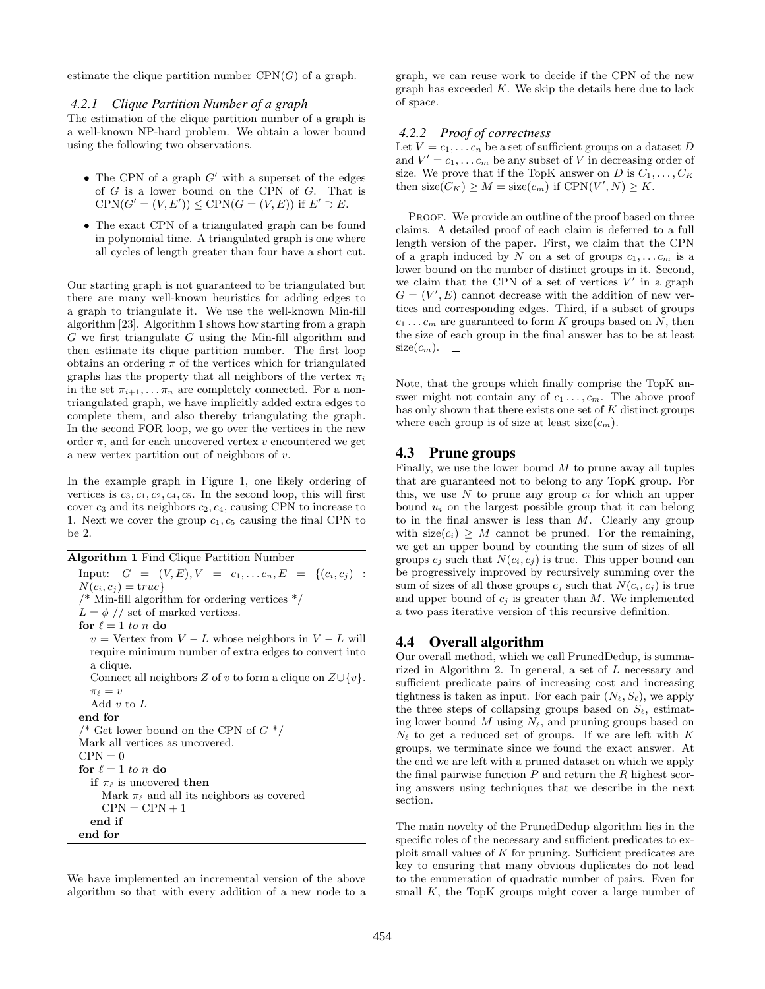estimate the clique partition number  $CPN(G)$  of a graph.

#### *4.2.1 Clique Partition Number of a graph*

The estimation of the clique partition number of a graph is a well-known NP-hard problem. We obtain a lower bound using the following two observations.

- The CPN of a graph  $G'$  with a superset of the edges of G is a lower bound on the CPN of G. That is  $CPN(G' = (V, E')) \leq CPN(G = (V, E))$  if  $E' \supset E$ .
- The exact CPN of a triangulated graph can be found in polynomial time. A triangulated graph is one where all cycles of length greater than four have a short cut.

Our starting graph is not guaranteed to be triangulated but there are many well-known heuristics for adding edges to a graph to triangulate it. We use the well-known Min-fill algorithm [23]. Algorithm 1 shows how starting from a graph  $G$  we first triangulate  $G$  using the Min-fill algorithm and then estimate its clique partition number. The first loop obtains an ordering  $\pi$  of the vertices which for triangulated graphs has the property that all neighbors of the vertex  $\pi_i$ in the set  $\pi_{i+1}, \ldots, \pi_n$  are completely connected. For a nontriangulated graph, we have implicitly added extra edges to complete them, and also thereby triangulating the graph. In the second FOR loop, we go over the vertices in the new order  $\pi$ , and for each uncovered vertex v encountered we get a new vertex partition out of neighbors of v.

In the example graph in Figure 1, one likely ordering of vertices is  $c_3, c_1, c_2, c_4, c_5$ . In the second loop, this will first cover  $c_3$  and its neighbors  $c_2, c_4$ , causing CPN to increase to 1. Next we cover the group  $c_1, c_5$  causing the final CPN to be 2.

Algorithm 1 Find Clique Partition Number Input:  $G = (V, E), V = c_1, \ldots c_n, E = \{(c_i, c_j)$ :  $N(c_i, c_j) = \text{true}$  $\frac{*}{*}$  Min-fill algorithm for ordering vertices  $\frac{*}{*}$  $L = \phi$  // set of marked vertices. for  $\ell = 1$  to n do  $v =$  Vertex from  $V - L$  whose neighbors in  $V - L$  will require minimum number of extra edges to convert into a clique. Connect all neighbors Z of v to form a clique on  $Z\cup \{v\}$ .  $\pi_\ell = v$ Add  $v$  to  $L$ end for  $\frac{4}{8}$  Get lower bound on the CPN of  $G^*$ Mark all vertices as uncovered.  $CPN = 0$ for  $\ell = 1$  to n do if  $\pi_{\ell}$  is uncovered then Mark  $\pi_{\ell}$  and all its neighbors as covered  $CPN = CPN + 1$ end if end for

We have implemented an incremental version of the above algorithm so that with every addition of a new node to a graph, we can reuse work to decide if the CPN of the new graph has exceeded  $K$ . We skip the details here due to lack of space.

#### *4.2.2 Proof of correctness*

Let  $V = c_1, \ldots c_n$  be a set of sufficient groups on a dataset D and  $V' = c_1, \ldots c_m$  be any subset of V in decreasing order of size. We prove that if the TopK answer on D is  $C_1, \ldots, C_K$ then size( $C_K$ )  $\geq M = \text{size}(c_m)$  if  $CPN(V', N) \geq K$ .

PROOF. We provide an outline of the proof based on three claims. A detailed proof of each claim is deferred to a full length version of the paper. First, we claim that the CPN of a graph induced by N on a set of groups  $c_1, \ldots c_m$  is a lower bound on the number of distinct groups in it. Second, we claim that the CPN of a set of vertices  $V'$  in a graph  $G = (V', E)$  cannot decrease with the addition of new vertices and corresponding edges. Third, if a subset of groups  $c_1 \ldots c_m$  are guaranteed to form K groups based on N, then the size of each group in the final answer has to be at least size $(c_m)$ .  $\Box$ 

Note, that the groups which finally comprise the TopK answer might not contain any of  $c_1 \ldots, c_m$ . The above proof has only shown that there exists one set of  $K$  distinct groups where each group is of size at least  $size(c_m)$ .

### 4.3 Prune groups

Finally, we use the lower bound  $M$  to prune away all tuples that are guaranteed not to belong to any TopK group. For this, we use N to prune any group  $c_i$  for which an upper bound  $u_i$  on the largest possible group that it can belong to in the final answer is less than  $M$ . Clearly any group with  $size(c_i) \geq M$  cannot be pruned. For the remaining, we get an upper bound by counting the sum of sizes of all groups  $c_i$  such that  $N(c_i, c_j)$  is true. This upper bound can be progressively improved by recursively summing over the sum of sizes of all those groups  $c_i$  such that  $N(c_i, c_j)$  is true and upper bound of  $c_i$  is greater than M. We implemented a two pass iterative version of this recursive definition.

#### 4.4 Overall algorithm

Our overall method, which we call PrunedDedup, is summarized in Algorithm 2. In general, a set of L necessary and sufficient predicate pairs of increasing cost and increasing tightness is taken as input. For each pair  $(N_{\ell}, S_{\ell})$ , we apply the three steps of collapsing groups based on  $S_{\ell}$ , estimating lower bound M using  $N_{\ell}$ , and pruning groups based on  $N_{\ell}$  to get a reduced set of groups. If we are left with K groups, we terminate since we found the exact answer. At the end we are left with a pruned dataset on which we apply the final pairwise function  $P$  and return the  $R$  highest scoring answers using techniques that we describe in the next section.

The main novelty of the PrunedDedup algorithm lies in the specific roles of the necessary and sufficient predicates to exploit small values of K for pruning. Sufficient predicates are key to ensuring that many obvious duplicates do not lead to the enumeration of quadratic number of pairs. Even for small  $K$ , the TopK groups might cover a large number of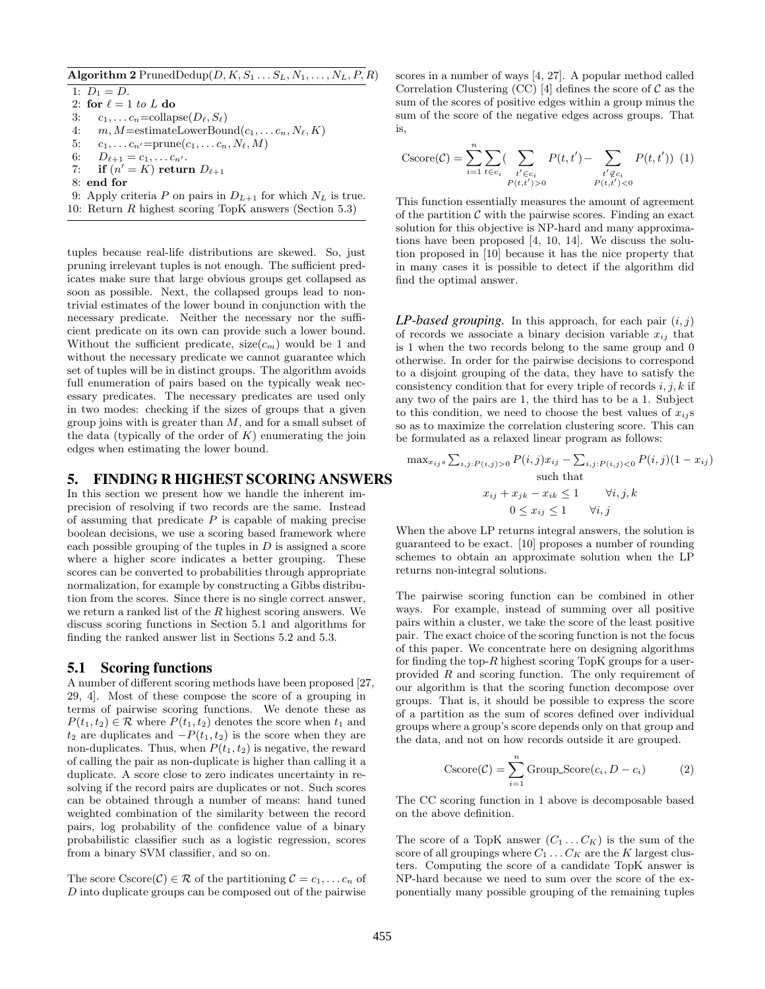### Algorithm 2 PrunedDedup $(D, K, S_1 \ldots S_L, N_1, \ldots, N_L, P, R)$

1:  $D_1 = D$ . 2: for  $\ell = 1$  to L do 3:  $c_1, \ldots c_n = \text{collapse}(D_\ell, S_\ell)$ 4:  $m, M = \text{estimateLowerBound}(c_1, \ldots c_n, N_\ell, K)$ 5:  $c_1, \ldots c_{n'} = \text{prune}(c_1, \ldots c_n, N_\ell, M)$ 6:  $D_{\ell+1} = c_1, \ldots c_{n'}$ . 7: if  $(n' = K)$  return  $D_{\ell+1}$ 8: end for 9: Apply criteria P on pairs in  $D_{L+1}$  for which  $N_L$  is true. 10: Return R highest scoring TopK answers (Section 5.3)

tuples because real-life distributions are skewed. So, just pruning irrelevant tuples is not enough. The sufficient predicates make sure that large obvious groups get collapsed as soon as possible. Next, the collapsed groups lead to nontrivial estimates of the lower bound in conjunction with the necessary predicate. Neither the necessary nor the sufficient predicate on its own can provide such a lower bound. Without the sufficient predicate,  $size(c_m)$  would be 1 and without the necessary predicate we cannot guarantee which set of tuples will be in distinct groups. The algorithm avoids full enumeration of pairs based on the typically weak necessary predicates. The necessary predicates are used only in two modes: checking if the sizes of groups that a given group joins with is greater than  $M$ , and for a small subset of the data (typically of the order of  $K$ ) enumerating the join edges when estimating the lower bound.

# 5. FINDING R HIGHEST SCORING ANSWERS

In this section we present how we handle the inherent imprecision of resolving if two records are the same. Instead of assuming that predicate  $P$  is capable of making precise boolean decisions, we use a scoring based framework where each possible grouping of the tuples in  $D$  is assigned a score where a higher score indicates a better grouping. These scores can be converted to probabilities through appropriate normalization, for example by constructing a Gibbs distribution from the scores. Since there is no single correct answer, we return a ranked list of the R highest scoring answers. We discuss scoring functions in Section 5.1 and algorithms for finding the ranked answer list in Sections 5.2 and 5.3.

#### 5.1 Scoring functions

A number of different scoring methods have been proposed [27, 29, 4]. Most of these compose the score of a grouping in terms of pairwise scoring functions. We denote these as  $P(t_1, t_2) \in \mathcal{R}$  where  $P(t_1, t_2)$  denotes the score when  $t_1$  and  $t_2$  are duplicates and  $-P(t_1, t_2)$  is the score when they are non-duplicates. Thus, when  $P(t_1, t_2)$  is negative, the reward of calling the pair as non-duplicate is higher than calling it a duplicate. A score close to zero indicates uncertainty in resolving if the record pairs are duplicates or not. Such scores can be obtained through a number of means: hand tuned weighted combination of the similarity between the record pairs, log probability of the confidence value of a binary probabilistic classifier such as a logistic regression, scores from a binary SVM classifier, and so on.

The score Cscore(C)  $\in \mathcal{R}$  of the partitioning  $\mathcal{C} = c_1, \ldots c_n$  of D into duplicate groups can be composed out of the pairwise

scores in a number of ways [4, 27]. A popular method called Correlation Clustering (CC) [4] defines the score of  $\mathcal C$  as the sum of the scores of positive edges within a group minus the sum of the score of the negative edges across groups. That is,

$$
\text{Cscore}(\mathcal{C}) = \sum_{i=1}^{n} \sum_{t \in c_i} \left( \sum_{\substack{t' \in c_i \\ P(t, t') > 0}} P(t, t') - \sum_{\substack{t' \notin c_i \\ P(t, t') < 0}} P(t, t') \right) (1)
$$

This function essentially measures the amount of agreement of the partition  $\mathcal C$  with the pairwise scores. Finding an exact solution for this objective is NP-hard and many approximations have been proposed [4, 10, 14]. We discuss the solution proposed in [10] because it has the nice property that in many cases it is possible to detect if the algorithm did find the optimal answer.

 $LP$ -based grouping. In this approach, for each pair  $(i, j)$ of records we associate a binary decision variable  $x_{ij}$  that is 1 when the two records belong to the same group and 0 otherwise. In order for the pairwise decisions to correspond to a disjoint grouping of the data, they have to satisfy the consistency condition that for every triple of records  $i, j, k$  if any two of the pairs are 1, the third has to be a 1. Subject to this condition, we need to choose the best values of  $x_{ij}$ s so as to maximize the correlation clustering score. This can be formulated as a relaxed linear program as follows:

$$
\max_{x_{ij}s} \sum_{i,j:P(i,j)>0} P(i,j)x_{ij} - \sum_{i,j:P(i,j)<0} P(i,j)(1-x_{ij})
$$
\nsuch that

\n
$$
x_{ij} + x_{jk} - x_{ik} \le 1 \qquad \forall i,j,k
$$
\n
$$
0 \le x_{ij} \le 1 \qquad \forall i,j
$$

When the above LP returns integral answers, the solution is guaranteed to be exact. [10] proposes a number of rounding schemes to obtain an approximate solution when the LP returns non-integral solutions.

The pairwise scoring function can be combined in other ways. For example, instead of summing over all positive pairs within a cluster, we take the score of the least positive pair. The exact choice of the scoring function is not the focus of this paper. We concentrate here on designing algorithms for finding the top-R highest scoring TopK groups for a userprovided R and scoring function. The only requirement of our algorithm is that the scoring function decompose over groups. That is, it should be possible to express the score of a partition as the sum of scores defined over individual groups where a group's score depends only on that group and the data, and not on how records outside it are grouped.

$$
\text{Cscore}(\mathcal{C}) = \sum_{i=1}^{n} \text{Group\_Score}(c_i, D - c_i)
$$
 (2)

The CC scoring function in 1 above is decomposable based on the above definition.

The score of a TopK answer  $(C_1 \ldots C_K)$  is the sum of the score of all groupings where  $C_1 \ldots C_K$  are the K largest clusters. Computing the score of a candidate TopK answer is NP-hard because we need to sum over the score of the exponentially many possible grouping of the remaining tuples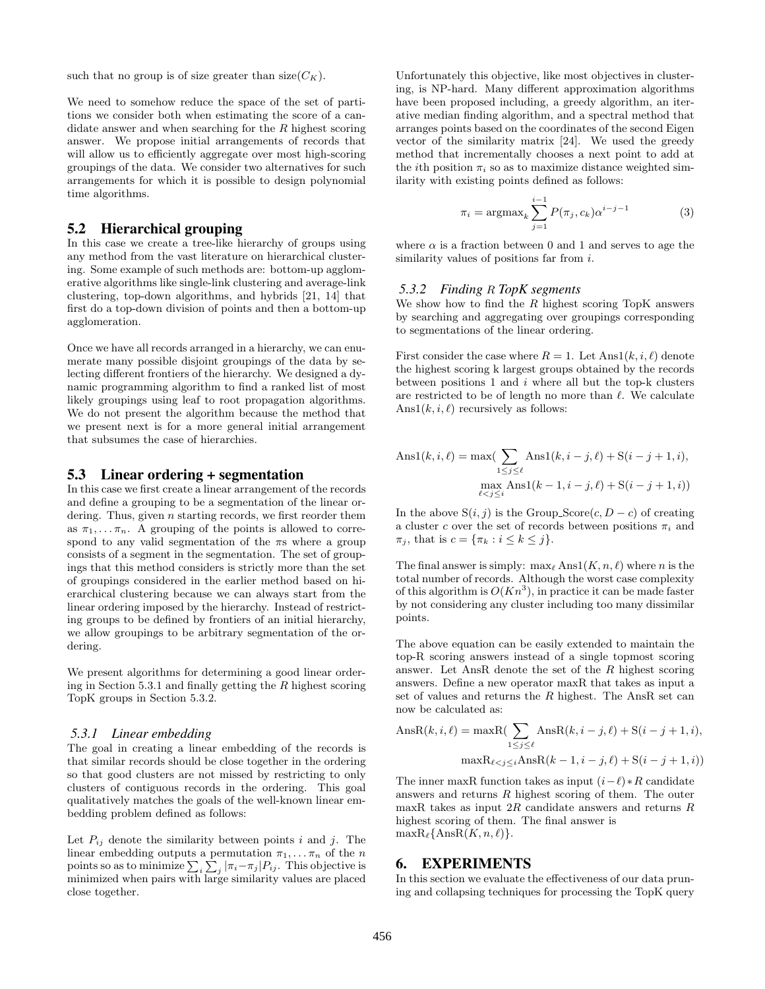such that no group is of size greater than  $size(C_K)$ .

We need to somehow reduce the space of the set of partitions we consider both when estimating the score of a candidate answer and when searching for the R highest scoring answer. We propose initial arrangements of records that will allow us to efficiently aggregate over most high-scoring groupings of the data. We consider two alternatives for such arrangements for which it is possible to design polynomial time algorithms.

# 5.2 Hierarchical grouping

In this case we create a tree-like hierarchy of groups using any method from the vast literature on hierarchical clustering. Some example of such methods are: bottom-up agglomerative algorithms like single-link clustering and average-link clustering, top-down algorithms, and hybrids [21, 14] that first do a top-down division of points and then a bottom-up agglomeration.

Once we have all records arranged in a hierarchy, we can enumerate many possible disjoint groupings of the data by selecting different frontiers of the hierarchy. We designed a dynamic programming algorithm to find a ranked list of most likely groupings using leaf to root propagation algorithms. We do not present the algorithm because the method that we present next is for a more general initial arrangement that subsumes the case of hierarchies.

### 5.3 Linear ordering + segmentation

In this case we first create a linear arrangement of the records and define a grouping to be a segmentation of the linear ordering. Thus, given  $n$  starting records, we first reorder them as  $\pi_1, \ldots, \pi_n$ . A grouping of the points is allowed to correspond to any valid segmentation of the  $\pi s$  where a group consists of a segment in the segmentation. The set of groupings that this method considers is strictly more than the set of groupings considered in the earlier method based on hierarchical clustering because we can always start from the linear ordering imposed by the hierarchy. Instead of restricting groups to be defined by frontiers of an initial hierarchy, we allow groupings to be arbitrary segmentation of the ordering.

We present algorithms for determining a good linear ordering in Section 5.3.1 and finally getting the  $R$  highest scoring TopK groups in Section 5.3.2.

#### *5.3.1 Linear embedding*

The goal in creating a linear embedding of the records is that similar records should be close together in the ordering so that good clusters are not missed by restricting to only clusters of contiguous records in the ordering. This goal qualitatively matches the goals of the well-known linear embedding problem defined as follows:

Let  $P_{ij}$  denote the similarity between points i and j. The linear embedding outputs a permutation  $\pi_1, \ldots, \pi_n$  of the *n* points so as to minimize  $\sum_i \sum_j |\pi_i - \pi_j| P_{ij}$ . This objective is minimized when pairs with large similarity values are placed close together.

Unfortunately this objective, like most objectives in clustering, is NP-hard. Many different approximation algorithms have been proposed including, a greedy algorithm, an iterative median finding algorithm, and a spectral method that arranges points based on the coordinates of the second Eigen vector of the similarity matrix [24]. We used the greedy method that incrementally chooses a next point to add at the *i*th position  $\pi_i$  so as to maximize distance weighted similarity with existing points defined as follows:

$$
\pi_i = \operatorname{argmax}_{k} \sum_{j=1}^{i-1} P(\pi_j, c_k) \alpha^{i-j-1}
$$
 (3)

where  $\alpha$  is a fraction between 0 and 1 and serves to age the similarity values of positions far from *i*.

#### *5.3.2 Finding* R *TopK segments*

We show how to find the  $R$  highest scoring TopK answers by searching and aggregating over groupings corresponding to segmentations of the linear ordering.

First consider the case where  $R = 1$ . Let  $Ans1(k, i, \ell)$  denote the highest scoring k largest groups obtained by the records between positions 1 and  $i$  where all but the top-k clusters are restricted to be of length no more than  $\ell$ . We calculate Ans $1(k, i, \ell)$  recursively as follows:

$$
Ans1(k, i, \ell) = \max(\sum_{1 \le j \le \ell} Ans1(k, i - j, \ell) + S(i - j + 1, i),
$$

$$
\max_{\ell < j \le i} Ans1(k - 1, i - j, \ell) + S(i - j + 1, i))
$$

In the above  $S(i, j)$  is the Group\_Score $(c, D - c)$  of creating a cluster c over the set of records between positions  $\pi_i$  and  $\pi_j$ , that is  $c = {\pi_k : i \leq k \leq j}.$ 

The final answer is simply:  $\max_{\ell} \text{Ans1}(K, n, \ell)$  where n is the total number of records. Although the worst case complexity of this algorithm is  $O(Kn^3)$ , in practice it can be made faster by not considering any cluster including too many dissimilar points.

The above equation can be easily extended to maintain the top-R scoring answers instead of a single topmost scoring answer. Let AnsR denote the set of the R highest scoring answers. Define a new operator maxR that takes as input a set of values and returns the R highest. The AnsR set can now be calculated as:

$$
\text{AnsR}(k, i, \ell) = \max \left\{ \sum_{1 \le j \le \ell} \text{AnsR}(k, i - j, \ell) + \mathcal{S}(i - j + 1, i), \right\}
$$

$$
\max \mathcal{R}_{\ell < j \le i} \text{AnsR}(k - 1, i - j, \ell) + \mathcal{S}(i - j + 1, i) \right\}
$$

The inner maxR function takes as input  $(i-\ell) * R$  candidate answers and returns R highest scoring of them. The outer maxR takes as input  $2R$  candidate answers and returns  $R$ highest scoring of them. The final answer is  $\max R_{\ell} \{\text{AnsR}(K, n, \ell)\}.$ 

# 6. EXPERIMENTS

In this section we evaluate the effectiveness of our data pruning and collapsing techniques for processing the TopK query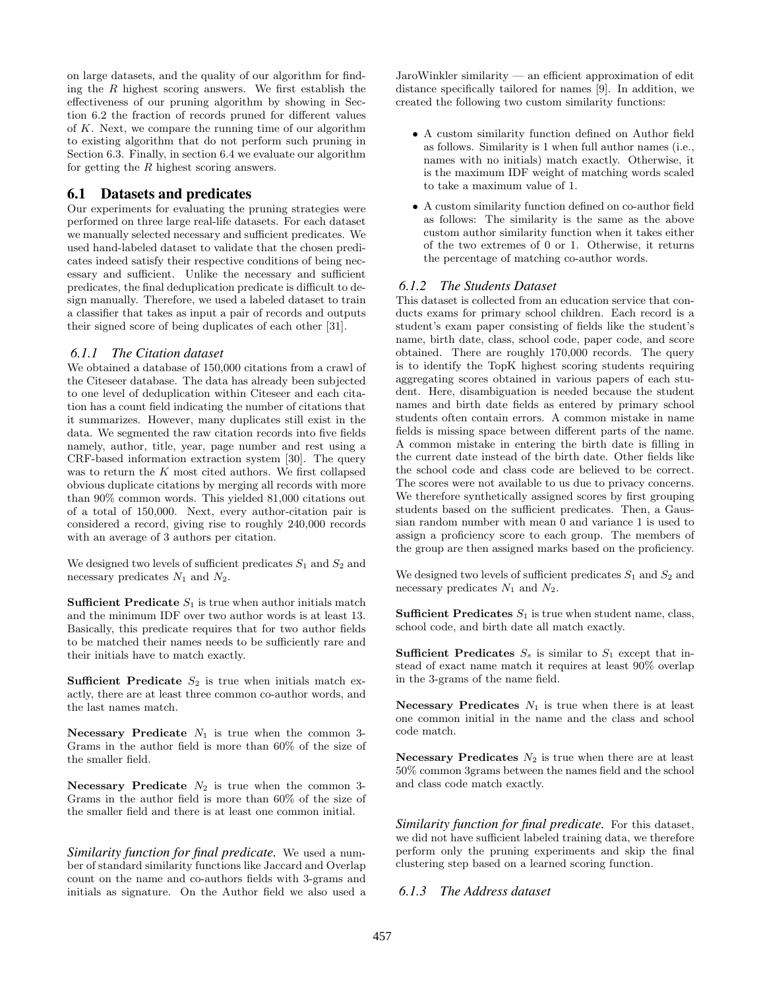on large datasets, and the quality of our algorithm for finding the  $R$  highest scoring answers. We first establish the effectiveness of our pruning algorithm by showing in Section 6.2 the fraction of records pruned for different values of  $K$ . Next, we compare the running time of our algorithm to existing algorithm that do not perform such pruning in Section 6.3. Finally, in section 6.4 we evaluate our algorithm for getting the R highest scoring answers.

### 6.1 Datasets and predicates

Our experiments for evaluating the pruning strategies were performed on three large real-life datasets. For each dataset we manually selected necessary and sufficient predicates. We used hand-labeled dataset to validate that the chosen predicates indeed satisfy their respective conditions of being necessary and sufficient. Unlike the necessary and sufficient predicates, the final deduplication predicate is difficult to design manually. Therefore, we used a labeled dataset to train a classifier that takes as input a pair of records and outputs their signed score of being duplicates of each other [31].

### *6.1.1 The Citation dataset*

We obtained a database of 150,000 citations from a crawl of the Citeseer database. The data has already been subjected to one level of deduplication within Citeseer and each citation has a count field indicating the number of citations that it summarizes. However, many duplicates still exist in the data. We segmented the raw citation records into five fields namely, author, title, year, page number and rest using a CRF-based information extraction system [30]. The query was to return the K most cited authors. We first collapsed obvious duplicate citations by merging all records with more than 90% common words. This yielded 81,000 citations out of a total of 150,000. Next, every author-citation pair is considered a record, giving rise to roughly 240,000 records with an average of 3 authors per citation.

We designed two levels of sufficient predicates  $S_1$  and  $S_2$  and necessary predicates  $N_1$  and  $N_2$ .

**Sufficient Predicate**  $S_1$  is true when author initials match and the minimum IDF over two author words is at least 13. Basically, this predicate requires that for two author fields to be matched their names needs to be sufficiently rare and their initials have to match exactly.

Sufficient Predicate  $S_2$  is true when initials match exactly, there are at least three common co-author words, and the last names match.

Necessary Predicate  $N_1$  is true when the common 3-Grams in the author field is more than 60% of the size of the smaller field.

Necessary Predicate  $N_2$  is true when the common 3-Grams in the author field is more than 60% of the size of the smaller field and there is at least one common initial.

*Similarity function for final predicate.* We used a number of standard similarity functions like Jaccard and Overlap count on the name and co-authors fields with 3-grams and initials as signature. On the Author field we also used a JaroWinkler similarity — an efficient approximation of edit distance specifically tailored for names [9]. In addition, we created the following two custom similarity functions:

- A custom similarity function defined on Author field as follows. Similarity is 1 when full author names (i.e., names with no initials) match exactly. Otherwise, it is the maximum IDF weight of matching words scaled to take a maximum value of 1.
- A custom similarity function defined on co-author field as follows: The similarity is the same as the above custom author similarity function when it takes either of the two extremes of 0 or 1. Otherwise, it returns the percentage of matching co-author words.

### *6.1.2 The Students Dataset*

This dataset is collected from an education service that conducts exams for primary school children. Each record is a student's exam paper consisting of fields like the student's name, birth date, class, school code, paper code, and score obtained. There are roughly 170,000 records. The query is to identify the TopK highest scoring students requiring aggregating scores obtained in various papers of each student. Here, disambiguation is needed because the student names and birth date fields as entered by primary school students often contain errors. A common mistake in name fields is missing space between different parts of the name. A common mistake in entering the birth date is filling in the current date instead of the birth date. Other fields like the school code and class code are believed to be correct. The scores were not available to us due to privacy concerns. We therefore synthetically assigned scores by first grouping students based on the sufficient predicates. Then, a Gaussian random number with mean 0 and variance 1 is used to assign a proficiency score to each group. The members of the group are then assigned marks based on the proficiency.

We designed two levels of sufficient predicates  $S_1$  and  $S_2$  and necessary predicates  $N_1$  and  $N_2$ .

**Sufficient Predicates**  $S_1$  is true when student name, class, school code, and birth date all match exactly.

**Sufficient Predicates**  $S_s$  is similar to  $S_1$  except that instead of exact name match it requires at least 90% overlap in the 3-grams of the name field.

Necessary Predicates  $N_1$  is true when there is at least one common initial in the name and the class and school code match.

Necessary Predicates  $N_2$  is true when there are at least 50% common 3grams between the names field and the school and class code match exactly.

*Similarity function for final predicate.* For this dataset, we did not have sufficient labeled training data, we therefore perform only the pruning experiments and skip the final clustering step based on a learned scoring function.

#### *6.1.3 The Address dataset*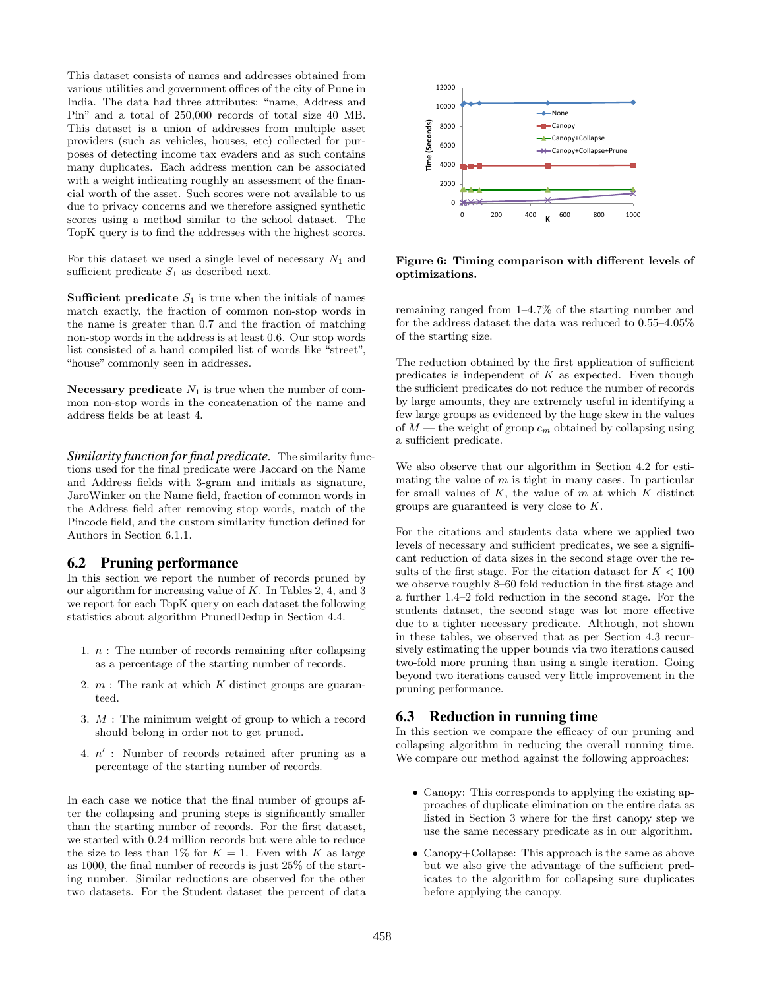This dataset consists of names and addresses obtained from various utilities and government offices of the city of Pune in India. The data had three attributes: "name, Address and Pin" and a total of 250,000 records of total size 40 MB. This dataset is a union of addresses from multiple asset providers (such as vehicles, houses, etc) collected for purposes of detecting income tax evaders and as such contains many duplicates. Each address mention can be associated with a weight indicating roughly an assessment of the financial worth of the asset. Such scores were not available to us due to privacy concerns and we therefore assigned synthetic scores using a method similar to the school dataset. The TopK query is to find the addresses with the highest scores.

For this dataset we used a single level of necessary  $N_1$  and sufficient predicate  $S_1$  as described next.

**Sufficient predicate**  $S_1$  is true when the initials of names match exactly, the fraction of common non-stop words in the name is greater than 0.7 and the fraction of matching non-stop words in the address is at least 0.6. Our stop words list consisted of a hand compiled list of words like "street", "house" commonly seen in addresses.

Necessary predicate  $N_1$  is true when the number of common non-stop words in the concatenation of the name and address fields be at least 4.

*Similarity function for final predicate.* The similarity functions used for the final predicate were Jaccard on the Name and Address fields with 3-gram and initials as signature, JaroWinker on the Name field, fraction of common words in the Address field after removing stop words, match of the Pincode field, and the custom similarity function defined for Authors in Section 6.1.1.

# 6.2 Pruning performance

In this section we report the number of records pruned by our algorithm for increasing value of K. In Tables 2, 4, and 3 we report for each TopK query on each dataset the following statistics about algorithm PrunedDedup in Section 4.4.

- 1.  $n$ : The number of records remaining after collapsing as a percentage of the starting number of records.
- 2.  $m$  : The rank at which  $K$  distinct groups are guaranteed.
- 3. M : The minimum weight of group to which a record should belong in order not to get pruned.
- 4.  $n'$ : Number of records retained after pruning as a percentage of the starting number of records.

In each case we notice that the final number of groups after the collapsing and pruning steps is significantly smaller than the starting number of records. For the first dataset, we started with 0.24 million records but were able to reduce the size to less than 1% for  $K = 1$ . Even with K as large as 1000, the final number of records is just 25% of the starting number. Similar reductions are observed for the other two datasets. For the Student dataset the percent of data



Figure 6: Timing comparison with different levels of optimizations.

remaining ranged from 1–4.7% of the starting number and for the address dataset the data was reduced to 0.55–4.05% of the starting size.

The reduction obtained by the first application of sufficient predicates is independent of  $K$  as expected. Even though the sufficient predicates do not reduce the number of records by large amounts, they are extremely useful in identifying a few large groups as evidenced by the huge skew in the values of  $M$  — the weight of group  $c_m$  obtained by collapsing using a sufficient predicate.

We also observe that our algorithm in Section 4.2 for estimating the value of  $m$  is tight in many cases. In particular for small values of  $K$ , the value of  $m$  at which  $K$  distinct groups are guaranteed is very close to K.

For the citations and students data where we applied two levels of necessary and sufficient predicates, we see a significant reduction of data sizes in the second stage over the results of the first stage. For the citation dataset for  $K < 100$ we observe roughly 8–60 fold reduction in the first stage and a further 1.4–2 fold reduction in the second stage. For the students dataset, the second stage was lot more effective due to a tighter necessary predicate. Although, not shown in these tables, we observed that as per Section 4.3 recursively estimating the upper bounds via two iterations caused two-fold more pruning than using a single iteration. Going beyond two iterations caused very little improvement in the pruning performance.

# 6.3 Reduction in running time

In this section we compare the efficacy of our pruning and collapsing algorithm in reducing the overall running time. We compare our method against the following approaches:

- Canopy: This corresponds to applying the existing approaches of duplicate elimination on the entire data as listed in Section 3 where for the first canopy step we use the same necessary predicate as in our algorithm.
- Canopy+Collapse: This approach is the same as above but we also give the advantage of the sufficient predicates to the algorithm for collapsing sure duplicates before applying the canopy.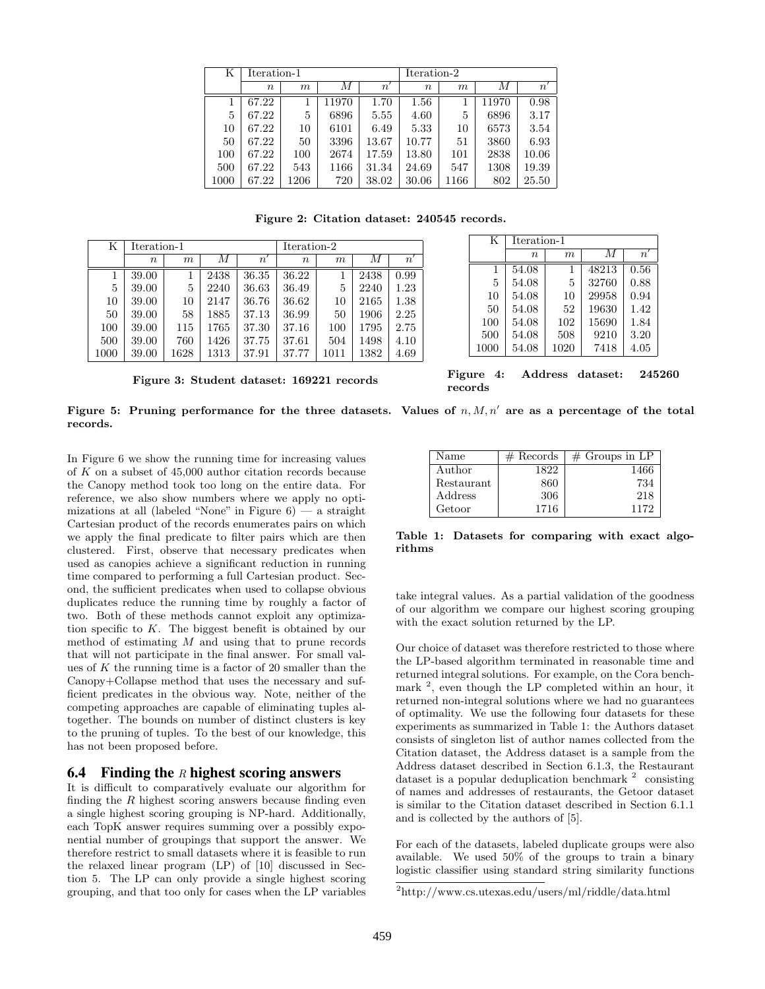| Κ    | Iteration-1      |      |       | Iteration-2  |        |      |       |              |
|------|------------------|------|-------|--------------|--------|------|-------|--------------|
|      | $\boldsymbol{n}$ | m    | М     | $n^{\prime}$ | $\, n$ | m    | М     | $n^{\prime}$ |
|      | 67.22            |      | 11970 | 1.70         | 1.56   |      | 11970 | 0.98         |
| 5    | 67.22            | 5    | 6896  | 5.55         | 4.60   | 5    | 6896  | 3.17         |
| 10   | 67.22            | 10   | 6101  | 6.49         | 5.33   | 10   | 6573  | 3.54         |
| 50   | 67.22            | 50   | 3396  | 13.67        | 10.77  | 51   | 3860  | 6.93         |
| 100  | 67.22            | 100  | 2674  | 17.59        | 13.80  | 101  | 2838  | 10.06        |
| 500  | 67.22            | 543  | 1166  | 31.34        | 24.69  | 547  | 1308  | 19.39        |
| 1000 | 67.22            | 1206 | 720   | 38.02        | 30.06  | 1166 | 802   | 25.50        |

Figure 2: Citation dataset: 240545 records.

| Κ    | Iteration-1      |      |      |                  | Iteration-2 |      |      |      |
|------|------------------|------|------|------------------|-------------|------|------|------|
|      | $\boldsymbol{n}$ | m    | М    | $\boldsymbol{n}$ | $\, n$      | m    | М    | n    |
|      | 39.00            |      | 2438 | 36.35            | 36.22       |      | 2438 | 0.99 |
| 5    | 39.00            | 5    | 2240 | 36.63            | 36.49       | 5    | 2240 | 1.23 |
| 10   | 39.00            | 10   | 2147 | 36.76            | 36.62       | 10   | 2165 | 1.38 |
| 50   | 39.00            | 58   | 1885 | 37.13            | 36.99       | 50   | 1906 | 2.25 |
| 100  | 39.00            | 115  | 1765 | 37.30            | 37.16       | 100  | 1795 | 2.75 |
| 500  | 39.00            | 760  | 1426 | 37.75            | 37.61       | 504  | 1498 | 4.10 |
| 1000 | 39.00            | 1628 | 1313 | 37.91            | 37.77       | 1011 | 1382 | 4.69 |

| Figure 3: Student dataset: 169221 records |  |  |  |  |
|-------------------------------------------|--|--|--|--|
|-------------------------------------------|--|--|--|--|

| K    | Iteration-1      |      |       |              |  |
|------|------------------|------|-------|--------------|--|
|      | $\boldsymbol{n}$ | m    | M     | $n^{\prime}$ |  |
| 1    | 54.08            | 1    | 48213 | 0.56         |  |
| 5    | 54.08            | 5    | 32760 | 0.88         |  |
| 10   | 54.08            | 10   | 29958 | 0.94         |  |
| 50   | 54.08            | 52   | 19630 | 1.42         |  |
| 100  | 54.08            | 102  | 15690 | 1.84         |  |
| 500  | 54.08            | 508  | 9210  | 3.20         |  |
| 1000 | 54.08            | 1020 | 7418  | 4.05         |  |

Figure 4: Address dataset: 245260 records

|          | Figure 5: Pruning performance for the three datasets. Values of $n, M, n'$ are as a percentage of the total |  |  |  |  |
|----------|-------------------------------------------------------------------------------------------------------------|--|--|--|--|
| records. |                                                                                                             |  |  |  |  |

In Figure 6 we show the running time for increasing values of K on a subset of 45,000 author citation records because the Canopy method took too long on the entire data. For reference, we also show numbers where we apply no optimizations at all (labeled "None" in Figure  $6$ ) — a straight Cartesian product of the records enumerates pairs on which we apply the final predicate to filter pairs which are then clustered. First, observe that necessary predicates when used as canopies achieve a significant reduction in running time compared to performing a full Cartesian product. Second, the sufficient predicates when used to collapse obvious duplicates reduce the running time by roughly a factor of two. Both of these methods cannot exploit any optimization specific to K. The biggest benefit is obtained by our method of estimating M and using that to prune records that will not participate in the final answer. For small values of K the running time is a factor of 20 smaller than the Canopy+Collapse method that uses the necessary and sufficient predicates in the obvious way. Note, neither of the competing approaches are capable of eliminating tuples altogether. The bounds on number of distinct clusters is key to the pruning of tuples. To the best of our knowledge, this has not been proposed before.

### 6.4 Finding the R highest scoring answers

It is difficult to comparatively evaluate our algorithm for finding the  $R$  highest scoring answers because finding even a single highest scoring grouping is NP-hard. Additionally, each TopK answer requires summing over a possibly exponential number of groupings that support the answer. We therefore restrict to small datasets where it is feasible to run the relaxed linear program (LP) of [10] discussed in Section 5. The LP can only provide a single highest scoring grouping, and that too only for cases when the LP variables

| Name       | $#$ Records | $\#$ Groups in LP |
|------------|-------------|-------------------|
| Author     | 1822        | 1466              |
| Restaurant | 860         | 734               |
| Address    | 306         | 218               |
| Getoor     | 1716        | 1172              |

Table 1: Datasets for comparing with exact algorithms

take integral values. As a partial validation of the goodness of our algorithm we compare our highest scoring grouping with the exact solution returned by the LP.

Our choice of dataset was therefore restricted to those where the LP-based algorithm terminated in reasonable time and returned integral solutions. For example, on the Cora benchmark <sup>2</sup>, even though the LP completed within an hour, it returned non-integral solutions where we had no guarantees of optimality. We use the following four datasets for these experiments as summarized in Table 1: the Authors dataset consists of singleton list of author names collected from the Citation dataset, the Address dataset is a sample from the Address dataset described in Section 6.1.3, the Restaurant dataset is a popular deduplication benchmark  $2$  consisting of names and addresses of restaurants, the Getoor dataset is similar to the Citation dataset described in Section 6.1.1 and is collected by the authors of [5].

For each of the datasets, labeled duplicate groups were also available. We used 50% of the groups to train a binary logistic classifier using standard string similarity functions

<sup>2</sup>http://www.cs.utexas.edu/users/ml/riddle/data.html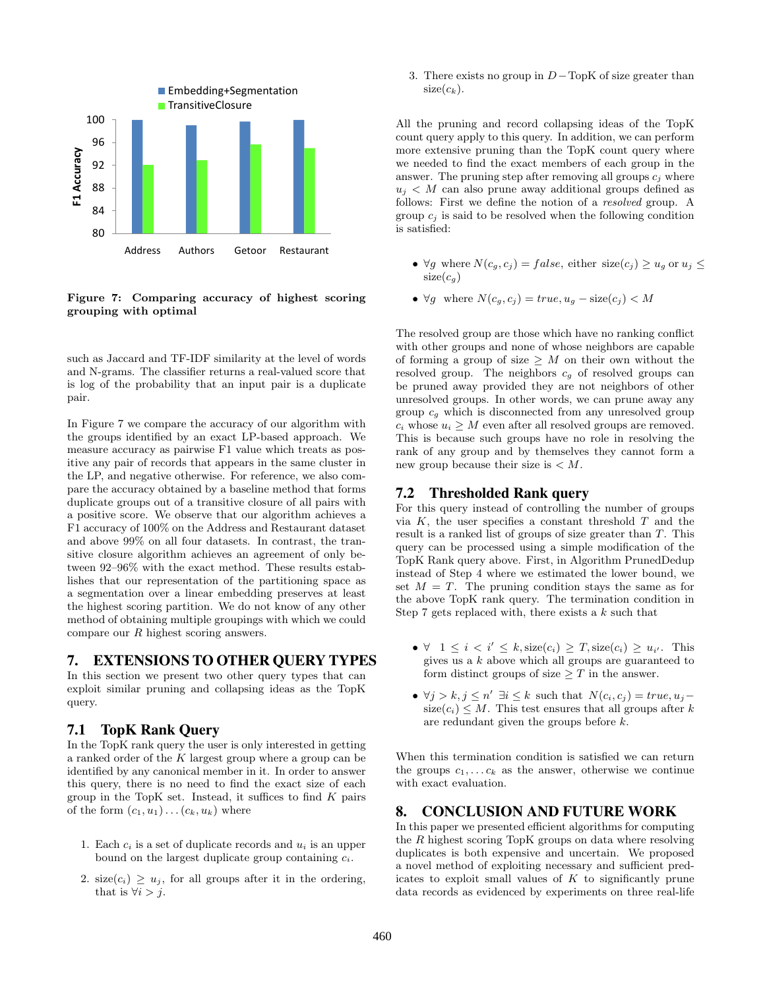

Figure 7: Comparing accuracy of highest scoring grouping with optimal

such as Jaccard and TF-IDF similarity at the level of words and N-grams. The classifier returns a real-valued score that is log of the probability that an input pair is a duplicate pair.

In Figure 7 we compare the accuracy of our algorithm with the groups identified by an exact LP-based approach. We measure accuracy as pairwise F1 value which treats as positive any pair of records that appears in the same cluster in the LP, and negative otherwise. For reference, we also compare the accuracy obtained by a baseline method that forms duplicate groups out of a transitive closure of all pairs with a positive score. We observe that our algorithm achieves a F1 accuracy of 100% on the Address and Restaurant dataset and above 99% on all four datasets. In contrast, the transitive closure algorithm achieves an agreement of only between 92–96% with the exact method. These results establishes that our representation of the partitioning space as a segmentation over a linear embedding preserves at least the highest scoring partition. We do not know of any other method of obtaining multiple groupings with which we could compare our R highest scoring answers.

# 7. EXTENSIONS TO OTHER QUERY TYPES

In this section we present two other query types that can exploit similar pruning and collapsing ideas as the TopK query.

# 7.1 TopK Rank Query

In the TopK rank query the user is only interested in getting a ranked order of the  $K$  largest group where a group can be identified by any canonical member in it. In order to answer this query, there is no need to find the exact size of each group in the TopK set. Instead, it suffices to find  $K$  pairs of the form  $(c_1, u_1) \dots (c_k, u_k)$  where

- 1. Each  $c_i$  is a set of duplicate records and  $u_i$  is an upper bound on the largest duplicate group containing  $c_i$ .
- 2. size( $c_i$ )  $\geq u_j$ , for all groups after it in the ordering, that is  $\forall i > j$ .

3. There exists no group in  $D-\text{TopK}$  of size greater than  $size(c_k)$ .

All the pruning and record collapsing ideas of the TopK count query apply to this query. In addition, we can perform more extensive pruning than the TopK count query where we needed to find the exact members of each group in the answer. The pruning step after removing all groups  $c_i$  where  $u_i < M$  can also prune away additional groups defined as follows: First we define the notion of a resolved group. A group  $c_i$  is said to be resolved when the following condition is satisfied:

- $\forall g$  where  $N(c_g, c_j) = false$ , either size $(c_j) \geq u_g$  or  $u_j \leq$  $size(c_g)$
- $\forall g$  where  $N(c_q, c_j) = true, u_q size(c_j) < M$

The resolved group are those which have no ranking conflict with other groups and none of whose neighbors are capable of forming a group of size  $\geq M$  on their own without the resolved group. The neighbors  $c_q$  of resolved groups can be pruned away provided they are not neighbors of other unresolved groups. In other words, we can prune away any group  $c_q$  which is disconnected from any unresolved group  $c_i$  whose  $u_i \geq M$  even after all resolved groups are removed. This is because such groups have no role in resolving the rank of any group and by themselves they cannot form a new group because their size is  $\lt M$ .

# 7.2 Thresholded Rank query

For this query instead of controlling the number of groups via  $K$ , the user specifies a constant threshold  $T$  and the result is a ranked list of groups of size greater than T. This query can be processed using a simple modification of the TopK Rank query above. First, in Algorithm PrunedDedup instead of Step 4 where we estimated the lower bound, we set  $M = T$ . The pruning condition stays the same as for the above TopK rank query. The termination condition in Step 7 gets replaced with, there exists a  $k$  such that

- $\forall$  1  $\leq i \leq i' \leq k$ , size $(c_i) \geq T$ , size $(c_i) \geq u_{i'}$ . This gives us a  $k$  above which all groups are guaranteed to form distinct groups of size  $\geq T$  in the answer.
- $\forall j > k, j \leq n' \exists i \leq k$  such that  $N(c_i, c_j) = true, u_j$  $size(c_i) \leq M$ . This test ensures that all groups after k are redundant given the groups before k.

When this termination condition is satisfied we can return the groups  $c_1, \ldots c_k$  as the answer, otherwise we continue with exact evaluation.

# 8. CONCLUSION AND FUTURE WORK

In this paper we presented efficient algorithms for computing the R highest scoring TopK groups on data where resolving duplicates is both expensive and uncertain. We proposed a novel method of exploiting necessary and sufficient predicates to exploit small values of  $K$  to significantly prune data records as evidenced by experiments on three real-life